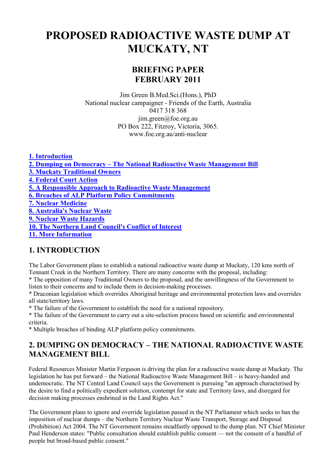# **PROPOSED RADIOACTIVE WASTE DUMP AT MUCKATY, NT**

# **BRIEFING PAPER FEBRUARY 2011**

Jim Green B.Med.Sci.(Hons.), PhD National nuclear campaigner - Friends of the Earth, Australia 0417 318 368 jim.green@foe.org.au PO Box 222, Fitzroy, Victoria, 3065. www.foe.org.au/anti-nuclear

**1. Introduction 2. Dumping on Democracy – The National Radioactive Waste Management Bill 3. Muckaty Traditional Owners 4. Federal Court Action 5. A Responsible Approach to Radioactive Waste Management 6. Breaches of ALP Platform Policy Commitments 7. Nuclear Medicine 8. Australia's Nuclear Waste 9. Nuclear Waste Hazards 10. The Northern Land Council's Conflict of Interest 11. More Information**

### **1. INTRODUCTION**

The Labor Government plans to establish a national radioactive waste dump at Muckaty, 120 kms north of Tennant Creek in the Northern Territory. There are many concerns with the proposal, including:

\* The opposition of many Traditional Owners to the proposal, and the unwillingness of the Government to listen to their concerns and to include them in decision-making processes.

\* Draconian legislation which overrides Aboriginal heritage and environmental protection laws and overrides all state/territory laws.

\* The failure of the Government to establish the need for a national repository.

\* The failure of the Government to carry out a site-selection process based on scientific and environmental criteria.

\* Multiple breaches of binding ALP platform policy commitments.

### **2. DUMPING ON DEMOCRACY – THE NATIONAL RADIOACTIVE WASTE MANAGEMENT BILL**

Federal Resources Minister Martin Ferguson is driving the plan for a radioactive waste dump at Muckaty. The legislation he has put forward – the National Radioactive Waste Management Bill – is heavy-handed and undemocratic. The NT Central Land Council says the Government is pursuing "an approach characterised by the desire to find a politically expedient solution, contempt for state and Territory laws, and disregard for decision making processes enshrined in the Land Rights Act."

The Government plans to ignore and override legislation passed in the NT Parliament which seeks to ban the imposition of nuclear dumps – the Northern Territory Nuclear Waste Transport, Storage and Disposal (Prohibition) Act 2004. The NT Government remains steadfastly opposed to the dump plan. NT Chief Minister Paul Henderson states: "Public consultation should establish public consent — not the consent of a handful of people but broad-based public consent."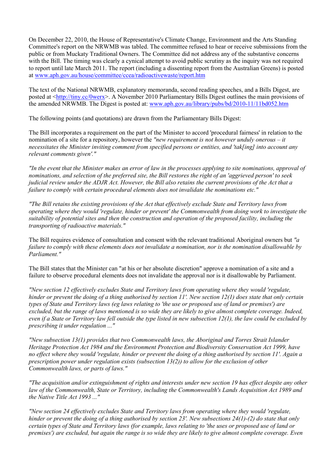On December 22, 2010, the House of Representative's Climate Change, Environment and the Arts Standing Committee's report on the NRWMB was tabled. The committee refused to hear or receive submissions from the public or from Muckaty Traditional Owners. The Committee did not address any of the substantive concerns with the Bill. The timing was clearly a cynical attempt to avoid public scrutiny as the inquiry was not required to report until late March 2011. The report (including a dissenting report from the Australian Greens) is posted at www.aph.gov.au/house/committee/ccea/radioactivewaste/report.htm

The text of the National NRWMB, explanatory memoranda, second reading speeches, and a Bills Digest, are posted at <http://tiny.cc/0werx>. A November 2010 Parliamentary Bills Digest outlines the main provisions of the amended NRWMB. The Digest is posted at: www.aph.gov.au/library/pubs/bd/2010-11/11bd052.htm

The following points (and quotations) are drawn from the Parliamentary Bills Digest:

The Bill incorporates a requirement on the part of the Minister to accord 'procedural fairness' in relation to the nomination of a site for a repository, however the *"new requirement is not however unduly onerous – it necessitates the Minister inviting comment from specified persons or entities, and 'tak[ing] into account any relevant comments given'."*

*"In the event that the Minister makes an error of law in the processes applying to site nominations, approval of nominations, and selection of the preferred site, the Bill restores the right of an 'aggrieved person' to seek judicial review under the ADJR Act. However, the Bill also retains the current provisions of the Act that a failure to comply with certain procedural elements does not invalidate the nominations etc."* 

*"The Bill retains the existing provisions of the Act that effectively exclude State and Territory laws from operating where they would 'regulate, hinder or prevent' the Commonwealth from doing work to investigate the suitability of potential sites and then the construction and operation of the proposed facility, including the transporting of radioactive materials."* 

The Bill requires evidence of consultation and consent with the relevant traditional Aboriginal owners but *"a failure to comply with these elements does not invalidate a nomination, nor is the nomination disallowable by Parliament."*

The Bill states that the Minister can "at his or her absolute discretion" approve a nomination of a site and a failure to observe procedural elements does not invalidate the approval nor is it disallowable by Parliament.

*"New section 12 effectively excludes State and Territory laws from operating where they would 'regulate, hinder or prevent the doing of a thing authorised by section 11'. New section 12(1) does state that only certain types of State and Territory laws (eg laws relating to 'the use or proposed use of land or premises') are excluded, but the range of laws mentioned is so wide they are likely to give almost complete coverage. Indeed, even if a State or Territory law fell outside the type listed in new subsection 12(1), the law could be excluded by prescribing it under regulation ..."* 

*"New subsection 13(1) provides that two Commonwealth laws, the Aboriginal and Torres Strait Islander Heritage Protection Act 1984 and the Environment Protection and Biodiversity Conservation Act 1999, have no effect where they would 'regulate, hinder or prevent the doing of a thing authorised by section 11'. Again a prescription power under regulation exists (subsection 13(2)) to allow for the exclusion of other Commonwealth laws, or parts of laws."* 

*"The acquisition and/or extinguishment of rights and interests under new section 19 has effect despite any other law of the Commonwealth, State or Territory, including the Commonwealth's Lands Acquisition Act 1989 and the Native Title Act 1993 ..."* 

*"New section 24 effectively excludes State and Territory laws from operating where they would 'regulate, hinder or prevent the doing of a thing authorised by section 23'. New subsections 24(1)-(2) do state that only certain types of State and Territory laws (for example, laws relating to 'the uses or proposed use of land or premises') are excluded, but again the range is so wide they are likely to give almost complete coverage. Even*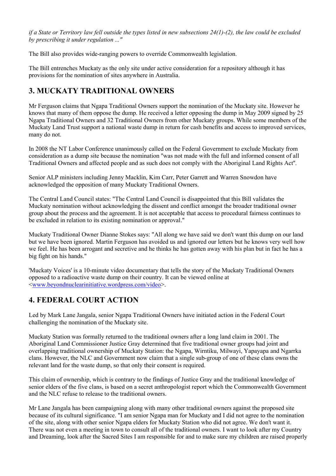*if a State or Territory law fell outside the types listed in new subsections 24(1)-(2), the law could be excluded by prescribing it under regulation ..."* 

The Bill also provides wide-ranging powers to override Commonwealth legislation.

The Bill entrenches Muckaty as the only site under active consideration for a repository although it has provisions for the nomination of sites anywhere in Australia.

### **3. MUCKATY TRADITIONAL OWNERS**

Mr Ferguson claims that Ngapa Traditional Owners support the nomination of the Muckaty site. However he knows that many of them oppose the dump. He received a letter opposing the dump in May 2009 signed by 25 Ngapa Traditional Owners and 32 Traditional Owners from other Muckaty groups. While some members of the Muckaty Land Trust support a national waste dump in return for cash benefits and access to improved services, many do not.

In 2008 the NT Labor Conference unanimously called on the Federal Government to exclude Muckaty from consideration as a dump site because the nomination ''was not made with the full and informed consent of all Traditional Owners and affected people and as such does not comply with the Aboriginal Land Rights Act''.

Senior ALP ministers including Jenny Macklin, Kim Carr, Peter Garrett and Warren Snowdon have acknowledged the opposition of many Muckaty Traditional Owners.

The Central Land Council states: "The Central Land Council is disappointed that this Bill validates the Muckaty nomination without acknowledging the dissent and conflict amongst the broader traditional owner group about the process and the agreement. It is not acceptable that access to procedural fairness continues to be excluded in relation to its existing nomination or approval."

Muckaty Traditional Owner Dianne Stokes says: "All along we have said we don't want this dump on our land but we have been ignored. Martin Ferguson has avoided us and ignored our letters but he knows very well how we feel. He has been arrogant and secretive and he thinks he has gotten away with his plan but in fact he has a big fight on his hands."

'Muckaty Voices' is a 10-minute video documentary that tells the story of the Muckaty Traditional Owners opposed to a radioactive waste dump on their country. It can be viewed online at <www.beyondnuclearinitiative.wordpress.com/video>.

### **4. FEDERAL COURT ACTION**

Led by Mark Lane Jangala, senior Ngapa Traditional Owners have initiated action in the Federal Court challenging the nomination of the Muckaty site.

Muckaty Station was formally returned to the traditional owners after a long land claim in 2001. The Aboriginal Land Commissioner Justice Gray determined that five traditional owner groups had joint and overlapping traditional ownership of Muckaty Station: the Ngapa, Wirntiku, Milwayi, Yapayapa and Ngarrka clans. However, the NLC and Government now claim that a single sub-group of one of these clans owns the relevant land for the waste dump, so that only their consent is required.

This claim of ownership, which is contrary to the findings of Justice Gray and the traditional knowledge of senior elders of the five clans, is based on a secret anthropologist report which the Commonwealth Government and the NLC refuse to release to the traditional owners.

Mr Lane Jangala has been campaigning along with many other traditional owners against the proposed site because of its cultural significance. "I am senior Ngapa man for Muckaty and I did not agree to the nomination of the site, along with other senior Ngapa elders for Muckaty Station who did not agree. We don't want it. There was not even a meeting in town to consult all of the traditional owners. I want to look after my Country and Dreaming, look after the Sacred Sites I am responsible for and to make sure my children are raised properly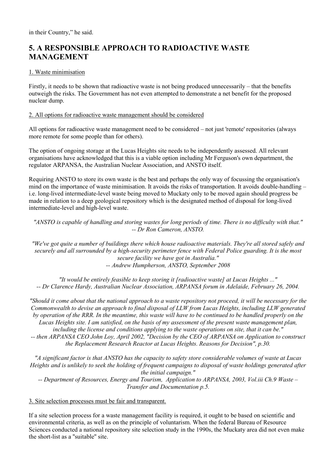# **5. A RESPONSIBLE APPROACH TO RADIOACTIVE WASTE MANAGEMENT**

#### 1. Waste minimisation

Firstly, it needs to be shown that radioactive waste is not being produced unnecessarily – that the benefits outweigh the risks. The Government has not even attempted to demonstrate a net benefit for the proposed nuclear dump.

#### 2. All options for radioactive waste management should be considered

All options for radioactive waste management need to be considered – not just 'remote' repositories (always more remote for some people than for others).

The option of ongoing storage at the Lucas Heights site needs to be independently assessed. All relevant organisations have acknowledged that this is a viable option including Mr Ferguson's own department, the regulator ARPANSA, the Australian Nuclear Association, and ANSTO itself.

Requiring ANSTO to store its own waste is the best and perhaps the only way of focussing the organisation's mind on the importance of waste minimisation. It avoids the risks of transportation. It avoids double-handling – i.e. long-lived intermediate-level waste being moved to Muckaty only to be moved again should progress be made in relation to a deep geological repository which is the designated method of disposal for long-lived intermediate-level and high-level waste.

*"ANSTO is capable of handling and storing wastes for long periods of time. There is no difficulty with that." -- Dr Ron Cameron, ANSTO.* 

*"We've got quite a number of buildings there which house radioactive materials. They're all stored safely and securely and all surrounded by a high-security perimeter fence with Federal Police guarding. It is the most secure facility we have got in Australia."* 

*-- Andrew Humpherson, ANSTO, September 2008* 

*"It would be entirely feasible to keep storing it [radioactive waste] at Lucas Heights ..." -- Dr Clarence Hardy, Australian Nuclear Association, ARPANSA forum in Adelaide, February 26, 2004.* 

*"Should it come about that the national approach to a waste repository not proceed, it will be necessary for the Commonwealth to devise an approach to final disposal of LLW from Lucas Heights, including LLW generated by operation of the RRR. In the meantime, this waste will have to be continued to be handled properly on the Lucas Heights site. I am satisfied, on the basis of my assessment of the present waste management plan, including the license and conditions applying to the waste operations on site, that it can be." -- then ARPANSA CEO John Loy, April 2002, "Decision by the CEO of ARPANSA on Application to construct the Replacement Research Reactor at Lucas Heights. Reasons for Decision", p.30.* 

*"A significant factor is that ANSTO has the capacity to safety store considerable volumes of waste at Lucas Heights and is unlikely to seek the holding of frequent campaigns to disposal of waste holdings generated after the initial campaign."* 

*-- Department of Resources, Energy and Tourism, Application to ARPANSA, 2003, Vol.iii Ch.9 Waste – Transfer and Documentation p.5.* 

#### 3. Site selection processes must be fair and transparent.

If a site selection process for a waste management facility is required, it ought to be based on scientific and environmental criteria, as well as on the principle of voluntarism. When the federal Bureau of Resource Sciences conducted a national repository site selection study in the 1990s, the Muckaty area did not even make the short-list as a ''suitable'' site.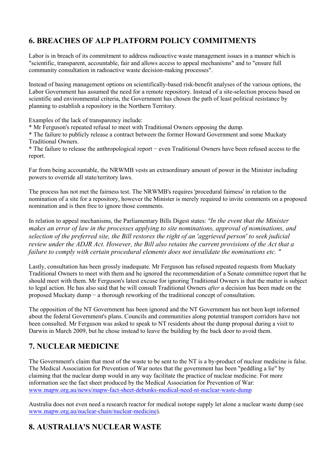# **6. BREACHES OF ALP PLATFORM POLICY COMMITMENTS**

Labor is in breach of its commitment to address radioactive waste management issues in a manner which is "scientific, transparent, accountable, fair and allows access to appeal mechanisms" and to "ensure full community consultation in radioactive waste decision-making processes".

Instead of basing management options on scientifically-based risk-benefit analyses of the various options, the Labor Government has assumed the need for a remote repository. Instead of a site-selection process based on scientific and environmental criteria, the Government has chosen the path of least political resistance by planning to establish a repository in the Northern Territory.

Examples of the lack of transparency include:

\* Mr Ferguson's repeated refusal to meet with Traditional Owners opposing the dump.

\* The failure to publicly release a contract between the former Howard Government and some Muckaty Traditional Owners.

\* The failure to release the anthropological report − even Traditional Owners have been refused access to the report.

Far from being accountable, the NRWMB vests an extraordinary amount of power in the Minister including powers to override all state/territory laws.

The process has not met the fairness test. The NRWMB's requires 'procedural fairness' in relation to the nomination of a site for a repository, however the Minister is merely required to invite comments on a proposed nomination and is then free to ignore those comments.

In relation to appeal mechanisms, the Parliamentary Bills Digest states: *"In the event that the Minister makes an error of law in the processes applying to site nominations, approval of nominations, and selection of the preferred site, the Bill restores the right of an 'aggrieved person' to seek judicial review under the ADJR Act. However, the Bill also retains the current provisions of the Act that a failure to comply with certain procedural elements does not invalidate the nominations etc. "*

Lastly, consultation has been grossly inadequate. Mr Ferguson has refused repeated requests from Muckaty Traditional Owners to meet with them and he ignored the recommendation of a Senate committee report that he should meet with them. Mr Ferguson's latest excuse for ignoring Traditional Owners is that the matter is subject to legal action. He has also said that he will consult Traditional Owners *after* a decision has been made on the proposed Muckaty dump − a thorough reworking of the traditional concept of consultation.

The opposition of the NT Government has been ignored and the NT Government has not been kept informed about the federal Government's plans. Councils and communities along potential transport corridors have not been consulted. Mr Ferguson was asked to speak to NT residents about the dump proposal during a visit to Darwin in March 2009, but he chose instead to leave the building by the back door to avoid them.

# **7. NUCLEAR MEDICINE**

The Government's claim that most of the waste to be sent to the NT is a by-product of nuclear medicine is false. The Medical Association for Prevention of War notes that the government has been "peddling a lie" by claiming that the nuclear dump would in any way facilitate the practice of nuclear medicine. For more information see the fact sheet produced by the Medical Association for Prevention of War: www.mapw.org.au/news/mapw-fact-sheet-debunks-medical-need-nt-nuclear-waste-dump

Australia does not even need a research reactor for medical isotope supply let alone a nuclear waste dump (see www.mapw.org.au/nuclear-chain/nuclear-medicine).

# **8. AUSTRALIA'S NUCLEAR WASTE**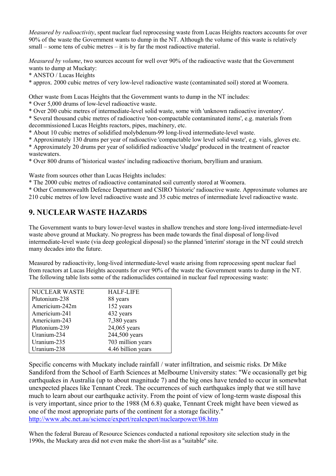*Measured by radioactivity*, spent nuclear fuel reprocessing waste from Lucas Heights reactors accounts for over 90% of the waste the Government wants to dump in the NT. Although the volume of this waste is relatively small – some tens of cubic metres – it is by far the most radioactive material.

*Measured by volume*, two sources account for well over 90% of the radioactive waste that the Government wants to dump at Muckaty:

\* ANSTO / Lucas Heights

\* approx. 2000 cubic metres of very low-level radioactive waste (contaminated soil) stored at Woomera.

Other waste from Lucas Heights that the Government wants to dump in the NT includes:

\* Over 5,000 drums of low-level radioactive waste.

\* Over 200 cubic metres of intermediate-level solid waste, some with 'unknown radioactive inventory'.

\* Several thousand cubic metres of radioactive 'non-compactable contaminated items', e.g. materials from decommissioned Lucas Heights reactors, pipes, machinery, etc.

\* About 10 cubic metres of solidified molybdenum-99 long-lived intermediate-level waste.

\* Approximately 130 drums per year of radioactive 'compactable low level solid waste', e.g. vials, gloves etc.

\* Approximately 20 drums per year of solidified radioactive 'sludge' produced in the treatment of reactor wastewaters.

\* Over 800 drums of 'historical wastes' including radioactive thorium, beryllium and uranium.

Waste from sources other than Lucas Heights includes:

\* The 2000 cubic metres of radioactive contaminated soil currently stored at Woomera.

\* Other Commonwealth Defence Department and CSIRO 'historic' radioactive waste. Approximate volumes are

210 cubic metres of low level radioactive waste and 35 cubic metres of intermediate level radioactive waste.

### **9. NUCLEAR WASTE HAZARDS**

The Government wants to bury lower-level wastes in shallow trenches and store long-lived intermediate-level waste above ground at Muckaty. No progress has been made towards the final disposal of long-lived intermediate-level waste (via deep geological disposal) so the planned 'interim' storage in the NT could stretch many decades into the future.

Measured by radioactivity, long-lived intermediate-level waste arising from reprocessing spent nuclear fuel from reactors at Lucas Heights accounts for over 90% of the waste the Government wants to dump in the NT. The following table lists some of the radionuclides contained in nuclear fuel reprocessing waste:

| <b>NUCLEAR WASTE</b> | <b>HALF-LIFE</b>   |
|----------------------|--------------------|
| Plutonium-238        | 88 years           |
| Americium-242m       | 152 years          |
| Americium-241        | 432 years          |
| Americium-243        | 7,380 years        |
| Plutonium-239        | 24,065 years       |
| Uranium-234          | 244,500 years      |
| Uranium-235          | 703 million years  |
| Uranium-238          | 4.46 billion years |

Specific concerns with Muckaty include rainfall / water infiltration, and seismic risks. Dr Mike Sandiford from the School of Earth Sciences at Melbourne University states: "We occasionally get big earthquakes in Australia (up to about magnitude 7) and the big ones have tended to occur in somewhat unexpected places like Tennant Creek. The occurrences of such earthquakes imply that we still have much to learn about our earthquake activity. From the point of view of long-term waste disposal this is very important, since prior to the 1988 (M 6.8) quake, Tennant Creek might have been viewed as one of the most appropriate parts of the continent for a storage facility." http://www.abc.net.au/science/expert/realexpert/nuclearpower/08.htm

When the federal Bureau of Resource Sciences conducted a national repository site selection study in the 1990s, the Muckaty area did not even make the short-list as a ''suitable'' site.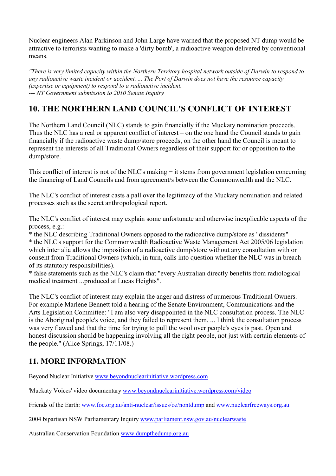Nuclear engineers Alan Parkinson and John Large have warned that the proposed NT dump would be attractive to terrorists wanting to make a 'dirty bomb', a radioactive weapon delivered by conventional means.

*"There is very limited capacity within the Northern Territory hospital network outside of Darwin to respond to any radioactive waste incident or accident. ... The Port of Darwin does not have the resource capacity (expertise or equipment) to respond to a radioactive incident. --- NT Government submission to 2010 Senate Inquiry*

# **10. THE NORTHERN LAND COUNCIL'S CONFLICT OF INTEREST**

The Northern Land Council (NLC) stands to gain financially if the Muckaty nomination proceeds. Thus the NLC has a real or apparent conflict of interest – on the one hand the Council stands to gain financially if the radioactive waste dump/store proceeds, on the other hand the Council is meant to represent the interests of all Traditional Owners regardless of their support for or opposition to the dump/store.

This conflict of interest is not of the NLC's making – it stems from government legislation concerning the financing of Land Councils and from agreement/s between the Commonwealth and the NLC.

The NLC's conflict of interest casts a pall over the legitimacy of the Muckaty nomination and related processes such as the secret anthropological report.

The NLC's conflict of interest may explain some unfortunate and otherwise inexplicable aspects of the process, e.g.:

\* the NLC describing Traditional Owners opposed to the radioactive dump/store as "dissidents" \* the NLC's support for the Commonwealth Radioactive Waste Management Act 2005/06 legislation which inter alia allows the imposition of a radioactive dump/store without any consultation with or consent from Traditional Owners (which, in turn, calls into question whether the NLC was in breach of its statutory responsibilities).

\* false statements such as the NLC's claim that "every Australian directly benefits from radiological medical treatment ...produced at Lucas Heights".

The NLC's conflict of interest may explain the anger and distress of numerous Traditional Owners. For example Marlene Bennett told a hearing of the Senate Environment, Communications and the Arts Legislation Committee: "I am also very disappointed in the NLC consultation process. The NLC is the Aboriginal people's voice, and they failed to represent them. ... I think the consultation process was very flawed and that the time for trying to pull the wool over people's eyes is past. Open and honest discussion should be happening involving all the right people, not just with certain elements of the people." (Alice Springs, 17/11/08.)

### **11. MORE INFORMATION**

Beyond Nuclear Initiative www.beyondnuclearinitiative.wordpress.com

'Muckaty Voices' video documentary www.beyondnuclearinitiative.wordpress.com/video

Friends of the Earth: www.foe.org.au/anti-nuclear/issues/oz/nontdump and www.nuclearfreeways.org.au

2004 bipartisan NSW Parliamentary Inquiry www.parliament.nsw.gov.au/nuclearwaste

Australian Conservation Foundation www.dumpthedump.org.au